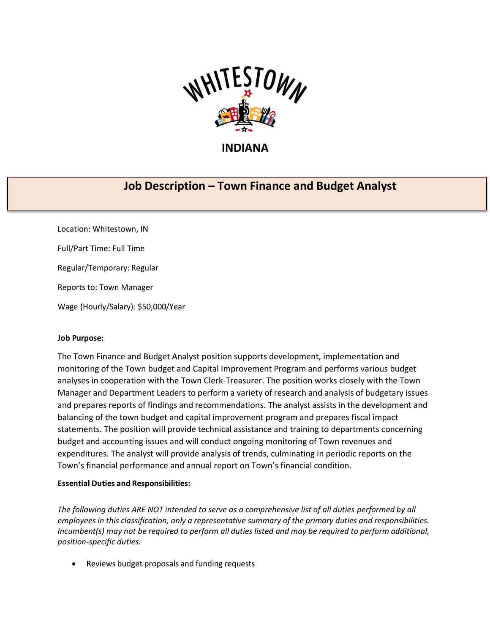

## **INDIANA**

# **Job Description – Town Finance and Budget Analyst**

Location: Whitestown, IN Full/Part Time: Full Time Regular/Temporary: Regular Reports to: Town Manager Wage (Hourly/Salary): \$50,000/Year

### **Job Purpose:**

The Town Finance and Budget Analyst position supports development, implementation and monitoring of the Town budget and Capital Improvement Program and performs various budget analyses in cooperation with the Town Clerk-Treasurer. The position works closely with the Town Manager and Department Leaders to perform a variety of research and analysis of budgetary issues and prepares reports of findings and recommendations. The analyst assists in the development and balancing of the town budget and capital improvement program and prepares fiscal impact statements. The position will provide technical assistance and training to departments concerning budget and accounting issues and will conduct ongoing monitoring of Town revenues and expenditures. The analyst will provide analysis of trends, culminating in periodic reports on the Town's financial performance and annual report on Town's financial condition.

### **Essential Duties and Responsibilities:**

*The following duties ARE NOT intended to serve as a comprehensive list of all duties performed by all employees in this classification, only a representative summary of the primary duties and responsibilities. Incumbent(s) may not be required to perform all duties listed and may be required to perform additional, position-specific duties.*

• Reviews budget proposals and funding requests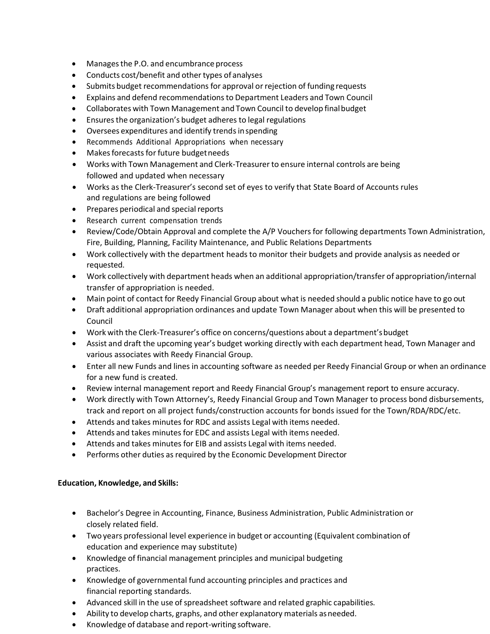- Managesthe P.O. and encumbrance process
- Conducts cost/benefit and other types of analyses
- Submits budget recommendations for approval or rejection of funding requests
- Explains and defend recommendationsto Department Leaders and Town Council
- Collaborates with Town Management and Town Council to develop finalbudget
- Ensures the organization's budget adheres to legal regulations
- Oversees expenditures and identify trendsinspending
- Recommends Additional Appropriations when necessary
- Makes forecasts for future budget needs
- Works with Town Management and Clerk-Treasurer to ensure internal controls are being followed and updated when necessary
- Works as the Clerk-Treasurer's second set of eyes to verify that State Board of Accounts rules and regulations are being followed
- Prepares periodical and special reports
- Research current compensation trends
- Review/Code/Obtain Approval and complete the A/P Vouchers for following departments Town Administration, Fire, Building, Planning, Facility Maintenance, and Public Relations Departments
- Work collectively with the department heads to monitor their budgets and provide analysis as needed or requested.
- Work collectively with department heads when an additional appropriation/transfer of appropriation/internal transfer of appropriation is needed.
- Main point of contact for Reedy Financial Group about what is needed should a public notice have to go out
- Draft additional appropriation ordinances and update Town Manager about when this will be presented to Council
- Work with the Clerk-Treasurer's office on concerns/questions about a department'sbudget
- Assist and draft the upcoming year's budget working directly with each department head, Town Manager and various associates with Reedy Financial Group.
- Enter all new Funds and lines in accounting software as needed per Reedy Financial Group or when an ordinance for a new fund is created.
- Review internal management report and Reedy Financial Group's management report to ensure accuracy.
- Work directly with Town Attorney's, Reedy Financial Group and Town Manager to process bond disbursements, track and report on all project funds/construction accounts for bonds issued for the Town/RDA/RDC/etc.
- Attends and takes minutes for RDC and assists Legal with items needed.
- Attends and takes minutes for EDC and assists Legal with items needed.
- Attends and takes minutes for EIB and assists Legal with items needed.
- Performs other duties as required by the Economic Development Director

### **Education, Knowledge, and Skills:**

- Bachelor's Degree in Accounting, Finance, Business Administration, Public Administration or closely related field.
- Two years professional level experience in budget or accounting (Equivalent combination of education and experience may substitute)
- Knowledge of financial management principles and municipal budgeting practices.
- Knowledge of governmental fund accounting principles and practices and financial reporting standards.
- Advanced skill in the use of spreadsheet software and related graphic capabilities.
- Ability to develop charts, graphs, and other explanatory materials asneeded.
- Knowledge of database and report-writing software.